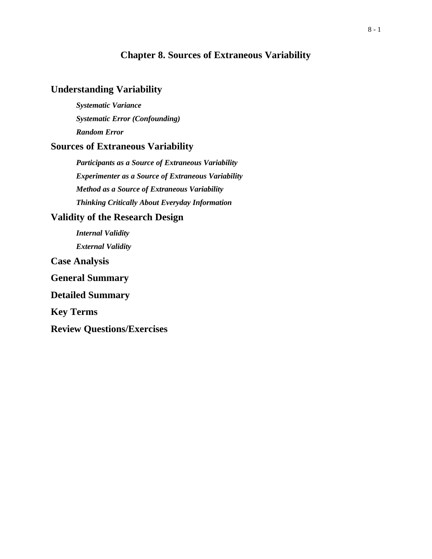# **Chapter 8. Sources of Extraneous Variability**

# **Understanding Variability**

*Systematic Variance Systematic Error (Confounding) Random Error*

# **Sources of Extraneous Variability**

*Participants as a Source of Extraneous Variability Experimenter as a Source of Extraneous Variability Method as a Source of Extraneous Variability Thinking Critically About Everyday Information*

# **Validity of the Research Design**

- *Internal Validity External Validity* **Case Analysis**
- **General Summary**

# **Detailed Summary**

**Key Terms** 

**Review Questions/Exercises**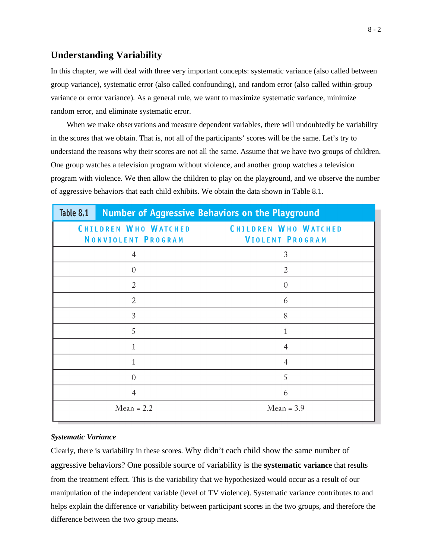## **Understanding Variability**

In this chapter, we will deal with three very important concepts: systematic variance (also called between group variance), systematic error (also called confounding), and random error (also called within-group variance or error variance). As a general rule, we want to maximize systematic variance, minimize random error, and eliminate systematic error.

When we make observations and measure dependent variables, there will undoubtedly be variability in the scores that we obtain. That is, not all of the participants' scores will be the same. Let's try to understand the reasons why their scores are not all the same. Assume that we have two groups of children. One group watches a television program without violence, and another group watches a television program with violence. We then allow the children to play on the playground, and we observe the number of aggressive behaviors that each child exhibits. We obtain the data shown in Table 8.1.

| Table 8.1                                                |   | Number of Aggressive Behaviors on the Playground      |
|----------------------------------------------------------|---|-------------------------------------------------------|
| <b>CHILDREN WHO WATCHED</b><br><b>NONVIOLENT PROGRAM</b> |   | <b>CHILDREN WHO WATCHED</b><br><b>VIOLENT PROGRAM</b> |
| $\overline{4}$                                           |   | 3                                                     |
| $\overline{0}$                                           |   | $\overline{2}$                                        |
| $\overline{2}$                                           |   | $\overline{0}$                                        |
| $\overline{2}$                                           |   | 6                                                     |
| 3                                                        |   | 8                                                     |
|                                                          | 5 | 1                                                     |
|                                                          | 1 | 4                                                     |
| 1                                                        |   | $\overline{4}$                                        |
| $\overline{0}$                                           |   | 5                                                     |
| $\overline{4}$                                           |   | 6                                                     |
| $Mean = 2.2$                                             |   | $Mean = 3.9$                                          |

### *Systematic Variance*

Clearly, there is variability in these scores. Why didn't each child show the same number of aggressive behaviors? One possible source of variability is the **systematic variance** that results from the treatment effect. This is the variability that we hypothesized would occur as a result of our manipulation of the independent variable (level of TV violence). Systematic variance contributes to and helps explain the difference or variability between participant scores in the two groups, and therefore the difference between the two group means.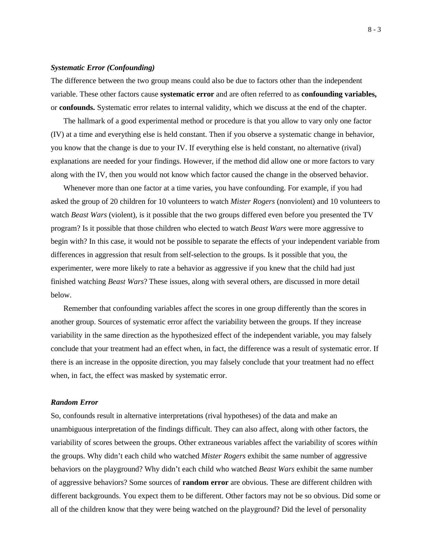### *Systematic Error (Confounding)*

The difference between the two group means could also be due to factors other than the independent variable. These other factors cause **systematic error** and are often referred to as **confounding variables,** or **confounds.** Systematic error relates to internal validity, which we discuss at the end of the chapter.

The hallmark of a good experimental method or procedure is that you allow to vary only one factor (IV) at a time and everything else is held constant. Then if you observe a systematic change in behavior, you know that the change is due to your IV. If everything else is held constant, no alternative (rival) explanations are needed for your findings. However, if the method did allow one or more factors to vary along with the IV, then you would not know which factor caused the change in the observed behavior.

Whenever more than one factor at a time varies, you have confounding. For example, if you had asked the group of 20 children for 10 volunteers to watch *Mister Rogers* (nonviolent) and 10 volunteers to watch *Beast Wars* (violent), is it possible that the two groups differed even before you presented the TV program? Is it possible that those children who elected to watch *Beast Wars* were more aggressive to begin with? In this case, it would not be possible to separate the effects of your independent variable from differences in aggression that result from self-selection to the groups. Is it possible that you, the experimenter, were more likely to rate a behavior as aggressive if you knew that the child had just finished watching *Beast Wars*? These issues, along with several others, are discussed in more detail below.

Remember that confounding variables affect the scores in one group differently than the scores in another group. Sources of systematic error affect the variability between the groups. If they increase variability in the same direction as the hypothesized effect of the independent variable, you may falsely conclude that your treatment had an effect when, in fact, the difference was a result of systematic error. If there is an increase in the opposite direction, you may falsely conclude that your treatment had no effect when, in fact, the effect was masked by systematic error.

### *Random Error*

So, confounds result in alternative interpretations (rival hypotheses) of the data and make an unambiguous interpretation of the findings difficult. They can also affect, along with other factors, the variability of scores between the groups. Other extraneous variables affect the variability of scores *within* the groups. Why didn't each child who watched *Mister Rogers* exhibit the same number of aggressive behaviors on the playground? Why didn't each child who watched *Beast Wars* exhibit the same number of aggressive behaviors? Some sources of **random error** are obvious. These are different children with different backgrounds. You expect them to be different. Other factors may not be so obvious. Did some or all of the children know that they were being watched on the playground? Did the level of personality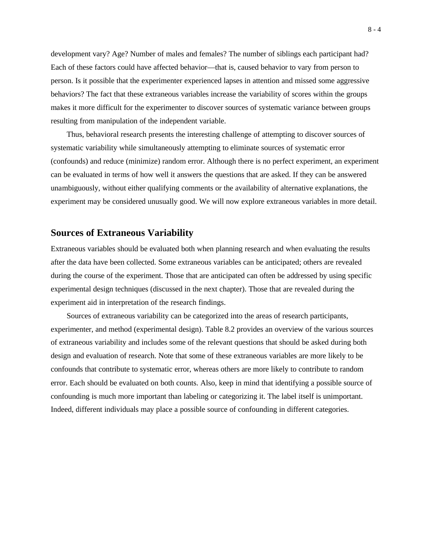development vary? Age? Number of males and females? The number of siblings each participant had? Each of these factors could have affected behavior—that is, caused behavior to vary from person to person. Is it possible that the experimenter experienced lapses in attention and missed some aggressive behaviors? The fact that these extraneous variables increase the variability of scores within the groups makes it more difficult for the experimenter to discover sources of systematic variance between groups resulting from manipulation of the independent variable.

Thus, behavioral research presents the interesting challenge of attempting to discover sources of systematic variability while simultaneously attempting to eliminate sources of systematic error (confounds) and reduce (minimize) random error. Although there is no perfect experiment, an experiment can be evaluated in terms of how well it answers the questions that are asked. If they can be answered unambiguously, without either qualifying comments or the availability of alternative explanations, the experiment may be considered unusually good. We will now explore extraneous variables in more detail.

## **Sources of Extraneous Variability**

Extraneous variables should be evaluated both when planning research and when evaluating the results after the data have been collected. Some extraneous variables can be anticipated; others are revealed during the course of the experiment. Those that are anticipated can often be addressed by using specific experimental design techniques (discussed in the next chapter). Those that are revealed during the experiment aid in interpretation of the research findings.

Sources of extraneous variability can be categorized into the areas of research participants, experimenter, and method (experimental design). Table 8.2 provides an overview of the various sources of extraneous variability and includes some of the relevant questions that should be asked during both design and evaluation of research. Note that some of these extraneous variables are more likely to be confounds that contribute to systematic error, whereas others are more likely to contribute to random error. Each should be evaluated on both counts. Also, keep in mind that identifying a possible source of confounding is much more important than labeling or categorizing it. The label itself is unimportant. Indeed, different individuals may place a possible source of confounding in different categories.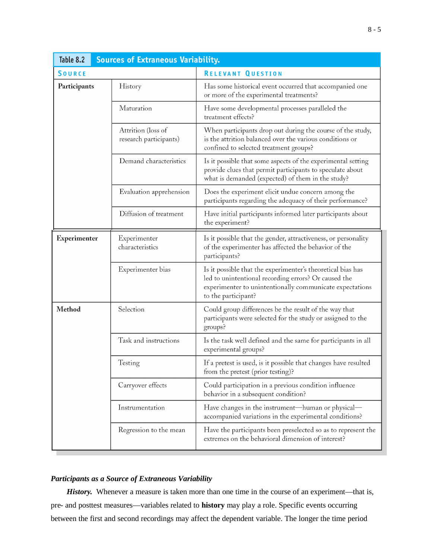| Table 8.2     | <b>Sources of Extraneous Variability.</b>    |                                                                                                                                                                                                        |
|---------------|----------------------------------------------|--------------------------------------------------------------------------------------------------------------------------------------------------------------------------------------------------------|
| <b>SOURCE</b> |                                              | <b>RELEVANT QUESTION</b>                                                                                                                                                                               |
| Participants  | History                                      | Has some historical event occurred that accompanied one<br>or more of the experimental treatments?                                                                                                     |
|               | Maturation                                   | Have some developmental processes paralleled the<br>treatment effects?                                                                                                                                 |
|               | Attrition (loss of<br>research participants) | When participants drop out during the course of the study,<br>is the attrition balanced over the various conditions or<br>confined to selected treatment groups?                                       |
|               | Demand characteristics                       | Is it possible that some aspects of the experimental setting<br>provide clues that permit participants to speculate about<br>what is demanded (expected) of them in the study?                         |
|               | Evaluation apprehension                      | Does the experiment elicit undue concern among the<br>participants regarding the adequacy of their performance?                                                                                        |
|               | Diffusion of treatment                       | Have initial participants informed later participants about<br>the experiment?                                                                                                                         |
| Experimenter  | Experimenter<br>characteristics              | Is it possible that the gender, attractiveness, or personality<br>of the experimenter has affected the behavior of the<br>participants?                                                                |
|               | Experimenter bias                            | Is it possible that the experimenter's theoretical bias has<br>led to unintentional recording errors? Or caused the<br>experimenter to unintentionally communicate expectations<br>to the participant? |
| Method        | Selection                                    | Could group differences be the result of the way that<br>participants were selected for the study or assigned to the<br>groups?                                                                        |
|               | Task and instructions                        | Is the task well defined and the same for participants in all<br>experimental groups?                                                                                                                  |
|               | Testing                                      | If a pretest is used, is it possible that changes have resulted<br>from the pretest (prior testing)?                                                                                                   |
|               | Carryover effects                            | Could participation in a previous condition influence<br>behavior in a subsequent condition?                                                                                                           |
|               | Instrumentation                              | Have changes in the instrument—human or physical—<br>accompanied variations in the experimental conditions?                                                                                            |
|               | Regression to the mean                       | Have the participants been preselected so as to represent the<br>extremes on the behavioral dimension of interest?                                                                                     |

## *Participants as a Source of Extraneous Variability*

*History*. Whenever a measure is taken more than one time in the course of an experiment—that is, pre- and posttest measures—variables related to **history** may play a role. Specific events occurring between the first and second recordings may affect the dependent variable. The longer the time period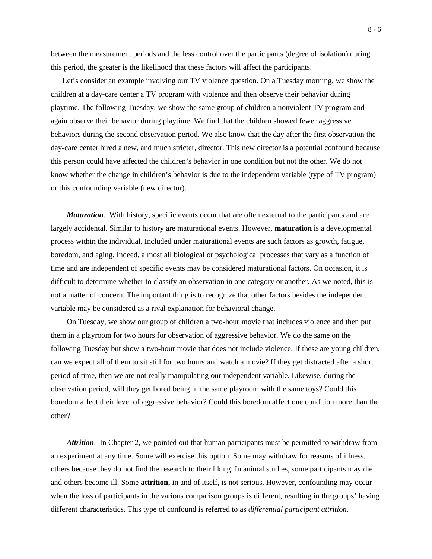between the measurement periods and the less control over the participants (degree of isolation) during this period, the greater is the likelihood that these factors will affect the participants.

Let's consider an example involving our TV violence question. On a Tuesday morning, we show the children at a day-care center a TV program with violence and then observe their behavior during playtime. The following Tuesday, we show the same group of children a nonviolent TV program and again observe their behavior during playtime. We find that the children showed fewer aggressive behaviors during the second observation period. We also know that the day after the first observation the day-care center hired a new, and much stricter, director. This new director is a potential confound because this person could have affected the children's behavior in one condition but not the other. We do not know whether the change in children's behavior is due to the independent variable (type of TV program) or this confounding variable (new director).

*Maturation*. With history, specific events occur that are often external to the participants and are largely accidental. Similar to history are maturational events. However, **maturation** is a developmental process within the individual. Included under maturational events are such factors as growth, fatigue, boredom, and aging. Indeed, almost all biological or psychological processes that vary as a function of time and are independent of specific events may be considered maturational factors. On occasion, it is difficult to determine whether to classify an observation in one category or another. As we noted, this is not a matter of concern. The important thing is to recognize that other factors besides the independent variable may be considered as a rival explanation for behavioral change.

On Tuesday, we show our group of children a two-hour movie that includes violence and then put them in a playroom for two hours for observation of aggressive behavior. We do the same on the following Tuesday but show a two-hour movie that does not include violence. If these are young children, can we expect all of them to sit still for two hours and watch a movie? If they get distracted after a short period of time, then we are not really manipulating our independent variable. Likewise, during the observation period, will they get bored being in the same playroom with the same toys? Could this boredom affect their level of aggressive behavior? Could this boredom affect one condition more than the other?

*Attrition*. In Chapter 2, we pointed out that human participants must be permitted to withdraw from an experiment at any time. Some will exercise this option. Some may withdraw for reasons of illness, others because they do not find the research to their liking. In animal studies, some participants may die and others become ill. Some **attrition,** in and of itself, is not serious. However, confounding may occur when the loss of participants in the various comparison groups is different, resulting in the groups' having different characteristics. This type of confound is referred to as *differential participant attrition*.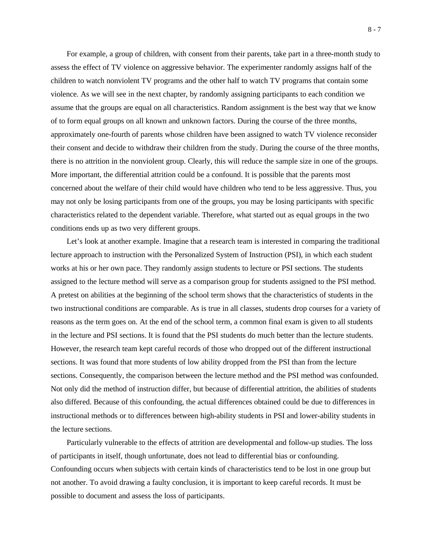For example, a group of children, with consent from their parents, take part in a three-month study to assess the effect of TV violence on aggressive behavior. The experimenter randomly assigns half of the children to watch nonviolent TV programs and the other half to watch TV programs that contain some violence. As we will see in the next chapter, by randomly assigning participants to each condition we assume that the groups are equal on all characteristics. Random assignment is the best way that we know of to form equal groups on all known and unknown factors. During the course of the three months, approximately one-fourth of parents whose children have been assigned to watch TV violence reconsider their consent and decide to withdraw their children from the study. During the course of the three months, there is no attrition in the nonviolent group. Clearly, this will reduce the sample size in one of the groups. More important, the differential attrition could be a confound. It is possible that the parents most concerned about the welfare of their child would have children who tend to be less aggressive. Thus, you may not only be losing participants from one of the groups, you may be losing participants with specific characteristics related to the dependent variable. Therefore, what started out as equal groups in the two conditions ends up as two very different groups.

Let's look at another example. Imagine that a research team is interested in comparing the traditional lecture approach to instruction with the Personalized System of Instruction (PSI), in which each student works at his or her own pace. They randomly assign students to lecture or PSI sections. The students assigned to the lecture method will serve as a comparison group for students assigned to the PSI method. A pretest on abilities at the beginning of the school term shows that the characteristics of students in the two instructional conditions are comparable. As is true in all classes, students drop courses for a variety of reasons as the term goes on. At the end of the school term, a common final exam is given to all students in the lecture and PSI sections. It is found that the PSI students do much better than the lecture students. However, the research team kept careful records of those who dropped out of the different instructional sections. It was found that more students of low ability dropped from the PSI than from the lecture sections. Consequently, the comparison between the lecture method and the PSI method was confounded. Not only did the method of instruction differ, but because of differential attrition, the abilities of students also differed. Because of this confounding, the actual differences obtained could be due to differences in instructional methods or to differences between high-ability students in PSI and lower-ability students in the lecture sections.

Particularly vulnerable to the effects of attrition are developmental and follow-up studies. The loss of participants in itself, though unfortunate, does not lead to differential bias or confounding. Confounding occurs when subjects with certain kinds of characteristics tend to be lost in one group but not another. To avoid drawing a faulty conclusion, it is important to keep careful records. It must be possible to document and assess the loss of participants.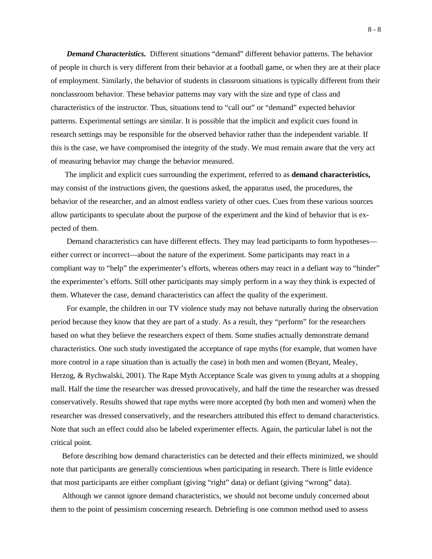*Demand Characteristics.* Different situations "demand" different behavior patterns. The behavior of people in church is very different from their behavior at a football game, or when they are at their place of employment. Similarly, the behavior of students in classroom situations is typically different from their nonclassroom behavior. These behavior patterns may vary with the size and type of class and characteristics of the instructor. Thus, situations tend to "call out" or "demand" expected behavior patterns. Experimental settings are similar. It is possible that the implicit and explicit cues found in research settings may be responsible for the observed behavior rather than the independent variable. If this is the case, we have compromised the integrity of the study. We must remain aware that the very act of measuring behavior may change the behavior measured.

The implicit and explicit cues surrounding the experiment, referred to as **demand characteristics,** may consist of the instructions given, the questions asked, the apparatus used, the procedures, the behavior of the researcher, and an almost endless variety of other cues. Cues from these various sources allow participants to speculate about the purpose of the experiment and the kind of behavior that is expected of them.

Demand characteristics can have different effects. They may lead participants to form hypotheses either correct or incorrect—about the nature of the experiment. Some participants may react in a compliant way to "help" the experimenter's efforts, whereas others may react in a defiant way to "hinder" the experimenter's efforts. Still other participants may simply perform in a way they think is expected of them. Whatever the case, demand characteristics can affect the quality of the experiment.

For example, the children in our TV violence study may not behave naturally during the observation period because they know that they are part of a study. As a result, they "perform" for the researchers based on what they believe the researchers expect of them. Some studies actually demonstrate demand characteristics. One such study investigated the acceptance of rape myths (for example, that women have more control in a rape situation than is actually the case) in both men and women (Bryant, Mealey, Herzog, & Rychwalski, 2001). The Rape Myth Acceptance Scale was given to young adults at a shopping mall. Half the time the researcher was dressed provocatively, and half the time the researcher was dressed conservatively. Results showed that rape myths were more accepted (by both men and women) when the researcher was dressed conservatively, and the researchers attributed this effect to demand characteristics. Note that such an effect could also be labeled experimenter effects. Again, the particular label is not the critical point.

Before describing how demand characteristics can be detected and their effects minimized, we should note that participants are generally conscientious when participating in research. There is little evidence that most participants are either compliant (giving "right" data) or defiant (giving "wrong" data).

Although we cannot ignore demand characteristics, we should not become unduly concerned about them to the point of pessimism concerning research. Debriefing is one common method used to assess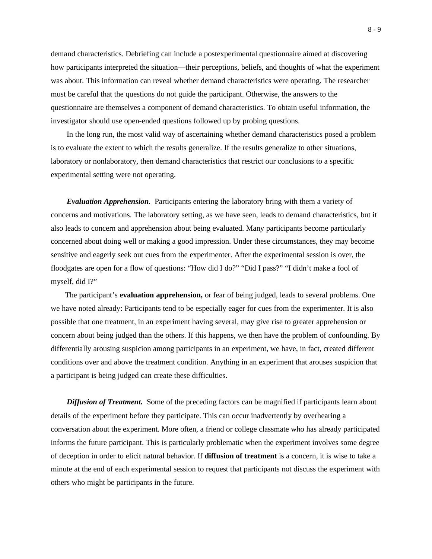demand characteristics. Debriefing can include a postexperimental questionnaire aimed at discovering how participants interpreted the situation—their perceptions, beliefs, and thoughts of what the experiment was about. This information can reveal whether demand characteristics were operating. The researcher must be careful that the questions do not guide the participant. Otherwise, the answers to the questionnaire are themselves a component of demand characteristics. To obtain useful information, the investigator should use open-ended questions followed up by probing questions.

In the long run, the most valid way of ascertaining whether demand characteristics posed a problem is to evaluate the extent to which the results generalize. If the results generalize to other situations, laboratory or nonlaboratory, then demand characteristics that restrict our conclusions to a specific experimental setting were not operating.

*Evaluation Apprehension*. Participants entering the laboratory bring with them a variety of concerns and motivations. The laboratory setting, as we have seen, leads to demand characteristics, but it also leads to concern and apprehension about being evaluated. Many participants become particularly concerned about doing well or making a good impression. Under these circumstances, they may become sensitive and eagerly seek out cues from the experimenter. After the experimental session is over, the floodgates are open for a flow of questions: "How did I do?" "Did I pass?" "I didn't make a fool of myself, did I?"

The participant's **evaluation apprehension,** or fear of being judged, leads to several problems. One we have noted already: Participants tend to be especially eager for cues from the experimenter. It is also possible that one treatment, in an experiment having several, may give rise to greater apprehension or concern about being judged than the others. If this happens, we then have the problem of confounding. By differentially arousing suspicion among participants in an experiment, we have, in fact, created different conditions over and above the treatment condition. Anything in an experiment that arouses suspicion that a participant is being judged can create these difficulties.

*Diffusion of Treatment.* Some of the preceding factors can be magnified if participants learn about details of the experiment before they participate. This can occur inadvertently by overhearing a conversation about the experiment. More often, a friend or college classmate who has already participated informs the future participant. This is particularly problematic when the experiment involves some degree of deception in order to elicit natural behavior. If **diffusion of treatment** is a concern, it is wise to take a minute at the end of each experimental session to request that participants not discuss the experiment with others who might be participants in the future.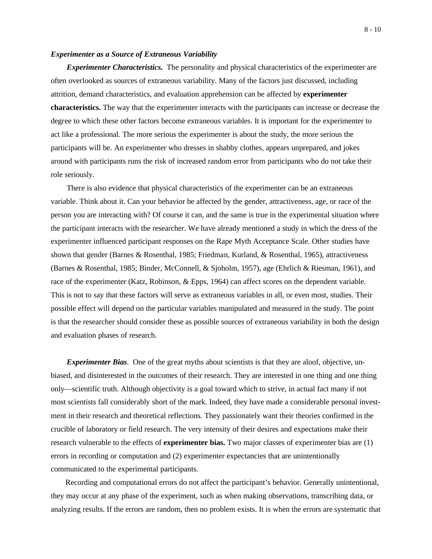### *Experimenter as a Source of Extraneous Variability*

*Experimenter Characteristics.* The personality and physical characteristics of the experimenter are often overlooked as sources of extraneous variability. Many of the factors just discussed, including attrition, demand characteristics, and evaluation apprehension can be affected by **experimenter characteristics.** The way that the experimenter interacts with the participants can increase or decrease the degree to which these other factors become extraneous variables. It is important for the experimenter to act like a professional. The more serious the experimenter is about the study, the more serious the participants will be. An experimenter who dresses in shabby clothes, appears unprepared, and jokes around with participants runs the risk of increased random error from participants who do not take their role seriously.

There is also evidence that physical characteristics of the experimenter can be an extraneous variable. Think about it. Can your behavior be affected by the gender, attractiveness, age, or race of the person you are interacting with? Of course it can, and the same is true in the experimental situation where the participant interacts with the researcher. We have already mentioned a study in which the dress of the experimenter influenced participant responses on the Rape Myth Acceptance Scale. Other studies have shown that gender (Barnes & Rosenthal, 1985; Friedman, Kurland, & Rosenthal, 1965), attractiveness (Barnes & Rosenthal, 1985; Binder, McConnell, & Sjoholm, 1957), age (Ehrlich & Riesman, 1961), and race of the experimenter (Katz, Robinson, & Epps, 1964) can affect scores on the dependent variable. This is not to say that these factors will serve as extraneous variables in all, or even most, studies. Their possible effect will depend on the particular variables manipulated and measured in the study. The point is that the researcher should consider these as possible sources of extraneous variability in both the design and evaluation phases of research.

*Experimenter Bias.* One of the great myths about scientists is that they are aloof, objective, unbiased, and disinterested in the outcomes of their research. They are interested in one thing and one thing only—scientific truth. Although objectivity is a goal toward which to strive, in actual fact many if not most scientists fall considerably short of the mark. Indeed, they have made a considerable personal investment in their research and theoretical reflections. They passionately want their theories confirmed in the crucible of laboratory or field research. The very intensity of their desires and expectations make their research vulnerable to the effects of **experimenter bias.** Two major classes of experimenter bias are (1) errors in recording or computation and (2) experimenter expectancies that are unintentionally communicated to the experimental participants.

Recording and computational errors do not affect the participant's behavior. Generally unintentional, they may occur at any phase of the experiment, such as when making observations, transcribing data, or analyzing results. If the errors are random, then no problem exists. It is when the errors are systematic that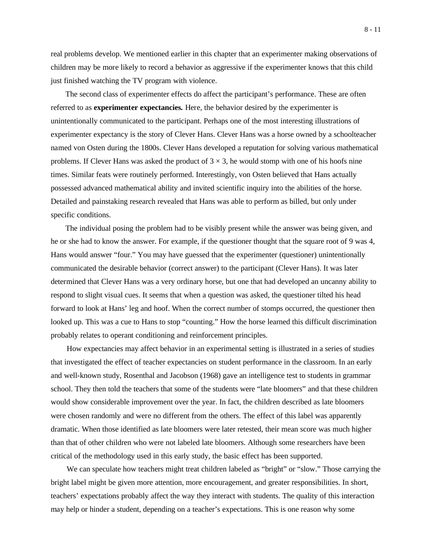real problems develop. We mentioned earlier in this chapter that an experimenter making observations of children may be more likely to record a behavior as aggressive if the experimenter knows that this child just finished watching the TV program with violence.

The second class of experimenter effects do affect the participant's performance. These are often referred to as **experimenter expectancies***.* Here, the behavior desired by the experimenter is unintentionally communicated to the participant. Perhaps one of the most interesting illustrations of experimenter expectancy is the story of Clever Hans. Clever Hans was a horse owned by a schoolteacher named von Osten during the 1800s. Clever Hans developed a reputation for solving various mathematical problems. If Clever Hans was asked the product of  $3 \times 3$ , he would stomp with one of his hoofs nine times. Similar feats were routinely performed. Interestingly, von Osten believed that Hans actually possessed advanced mathematical ability and invited scientific inquiry into the abilities of the horse. Detailed and painstaking research revealed that Hans was able to perform as billed, but only under specific conditions.

The individual posing the problem had to be visibly present while the answer was being given, and he or she had to know the answer. For example, if the questioner thought that the square root of 9 was 4, Hans would answer "four." You may have guessed that the experimenter (questioner) unintentionally communicated the desirable behavior (correct answer) to the participant (Clever Hans). It was later determined that Clever Hans was a very ordinary horse, but one that had developed an uncanny ability to respond to slight visual cues. It seems that when a question was asked, the questioner tilted his head forward to look at Hans' leg and hoof. When the correct number of stomps occurred, the questioner then looked up. This was a cue to Hans to stop "counting." How the horse learned this difficult discrimination probably relates to operant conditioning and reinforcement principles.

How expectancies may affect behavior in an experimental setting is illustrated in a series of studies that investigated the effect of teacher expectancies on student performance in the classroom. In an early and well-known study, Rosenthal and Jacobson (1968) gave an intelligence test to students in grammar school. They then told the teachers that some of the students were "late bloomers" and that these children would show considerable improvement over the year. In fact, the children described as late bloomers were chosen randomly and were no different from the others. The effect of this label was apparently dramatic. When those identified as late bloomers were later retested, their mean score was much higher than that of other children who were not labeled late bloomers. Although some researchers have been critical of the methodology used in this early study, the basic effect has been supported.

We can speculate how teachers might treat children labeled as "bright" or "slow." Those carrying the bright label might be given more attention, more encouragement, and greater responsibilities. In short, teachers' expectations probably affect the way they interact with students. The quality of this interaction may help or hinder a student, depending on a teacher's expectations. This is one reason why some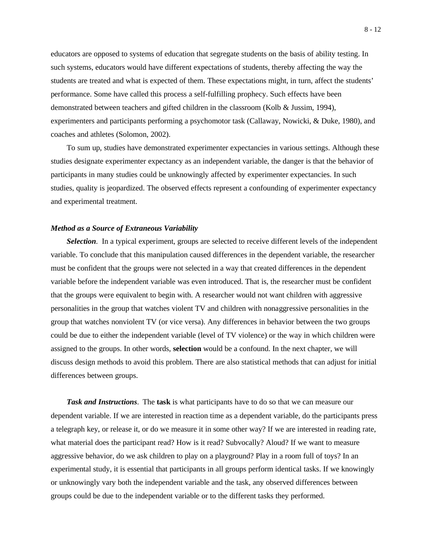educators are opposed to systems of education that segregate students on the basis of ability testing. In such systems, educators would have different expectations of students, thereby affecting the way the students are treated and what is expected of them. These expectations might, in turn, affect the students' performance. Some have called this process a self-fulfilling prophecy. Such effects have been demonstrated between teachers and gifted children in the classroom (Kolb & Jussim, 1994), experimenters and participants performing a psychomotor task (Callaway, Nowicki, & Duke, 1980), and coaches and athletes (Solomon, 2002).

To sum up, studies have demonstrated experimenter expectancies in various settings. Although these studies designate experimenter expectancy as an independent variable, the danger is that the behavior of participants in many studies could be unknowingly affected by experimenter expectancies. In such studies, quality is jeopardized. The observed effects represent a confounding of experimenter expectancy and experimental treatment.

#### *Method as a Source of Extraneous Variability*

*Selection*. In a typical experiment, groups are selected to receive different levels of the independent variable. To conclude that this manipulation caused differences in the dependent variable, the researcher must be confident that the groups were not selected in a way that created differences in the dependent variable before the independent variable was even introduced. That is, the researcher must be confident that the groups were equivalent to begin with. A researcher would not want children with aggressive personalities in the group that watches violent TV and children with nonaggressive personalities in the group that watches nonviolent TV (or vice versa). Any differences in behavior between the two groups could be due to either the independent variable (level of TV violence) or the way in which children were assigned to the groups. In other words, **selection** would be a confound. In the next chapter, we will discuss design methods to avoid this problem. There are also statistical methods that can adjust for initial differences between groups.

*Task and Instructions*. The **task** is what participants have to do so that we can measure our dependent variable. If we are interested in reaction time as a dependent variable, do the participants press a telegraph key, or release it, or do we measure it in some other way? If we are interested in reading rate, what material does the participant read? How is it read? Subvocally? Aloud? If we want to measure aggressive behavior, do we ask children to play on a playground? Play in a room full of toys? In an experimental study, it is essential that participants in all groups perform identical tasks. If we knowingly or unknowingly vary both the independent variable and the task, any observed differences between groups could be due to the independent variable or to the different tasks they performed.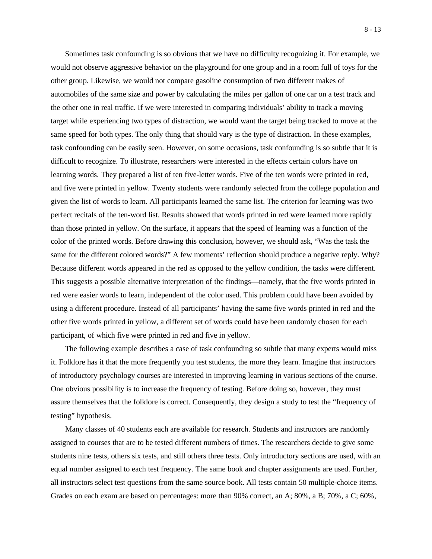Sometimes task confounding is so obvious that we have no difficulty recognizing it. For example, we would not observe aggressive behavior on the playground for one group and in a room full of toys for the other group. Likewise, we would not compare gasoline consumption of two different makes of automobiles of the same size and power by calculating the miles per gallon of one car on a test track and the other one in real traffic. If we were interested in comparing individuals' ability to track a moving target while experiencing two types of distraction, we would want the target being tracked to move at the same speed for both types. The only thing that should vary is the type of distraction. In these examples, task confounding can be easily seen. However, on some occasions, task confounding is so subtle that it is difficult to recognize. To illustrate, researchers were interested in the effects certain colors have on learning words. They prepared a list of ten five-letter words. Five of the ten words were printed in red, and five were printed in yellow. Twenty students were randomly selected from the college population and given the list of words to learn. All participants learned the same list. The criterion for learning was two perfect recitals of the ten-word list. Results showed that words printed in red were learned more rapidly than those printed in yellow. On the surface, it appears that the speed of learning was a function of the color of the printed words. Before drawing this conclusion, however, we should ask, "Was the task the same for the different colored words?" A few moments' reflection should produce a negative reply. Why? Because different words appeared in the red as opposed to the yellow condition, the tasks were different. This suggests a possible alternative interpretation of the findings—namely, that the five words printed in red were easier words to learn, independent of the color used. This problem could have been avoided by using a different procedure. Instead of all participants' having the same five words printed in red and the other five words printed in yellow, a different set of words could have been randomly chosen for each participant, of which five were printed in red and five in yellow.

The following example describes a case of task confounding so subtle that many experts would miss it. Folklore has it that the more frequently you test students, the more they learn. Imagine that instructors of introductory psychology courses are interested in improving learning in various sections of the course. One obvious possibility is to increase the frequency of testing. Before doing so, however, they must assure themselves that the folklore is correct. Consequently, they design a study to test the "frequency of testing" hypothesis.

Many classes of 40 students each are available for research. Students and instructors are randomly assigned to courses that are to be tested different numbers of times. The researchers decide to give some students nine tests, others six tests, and still others three tests. Only introductory sections are used, with an equal number assigned to each test frequency. The same book and chapter assignments are used. Further, all instructors select test questions from the same source book. All tests contain 50 multiple-choice items. Grades on each exam are based on percentages: more than 90% correct, an A; 80%, a B; 70%, a C; 60%,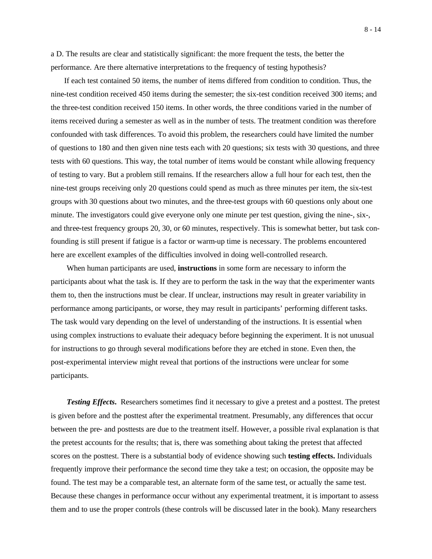a D. The results are clear and statistically significant: the more frequent the tests, the better the performance. Are there alternative interpretations to the frequency of testing hypothesis?

If each test contained 50 items, the number of items differed from condition to condition. Thus, the nine-test condition received 450 items during the semester; the six-test condition received 300 items; and the three-test condition received 150 items. In other words, the three conditions varied in the number of items received during a semester as well as in the number of tests. The treatment condition was therefore confounded with task differences. To avoid this problem, the researchers could have limited the number of questions to 180 and then given nine tests each with 20 questions; six tests with 30 questions, and three tests with 60 questions. This way, the total number of items would be constant while allowing frequency of testing to vary. But a problem still remains. If the researchers allow a full hour for each test, then the nine-test groups receiving only 20 questions could spend as much as three minutes per item, the six-test groups with 30 questions about two minutes, and the three-test groups with 60 questions only about one minute. The investigators could give everyone only one minute per test question, giving the nine-, six-, and three-test frequency groups 20, 30, or 60 minutes, respectively. This is somewhat better, but task confounding is still present if fatigue is a factor or warm-up time is necessary. The problems encountered here are excellent examples of the difficulties involved in doing well-controlled research.

When human participants are used, **instructions** in some form are necessary to inform the participants about what the task is. If they are to perform the task in the way that the experimenter wants them to, then the instructions must be clear. If unclear, instructions may result in greater variability in performance among participants, or worse, they may result in participants' performing different tasks. The task would vary depending on the level of understanding of the instructions. It is essential when using complex instructions to evaluate their adequacy before beginning the experiment. It is not unusual for instructions to go through several modifications before they are etched in stone. Even then, the post-experimental interview might reveal that portions of the instructions were unclear for some participants.

**Testing Effects.** Researchers sometimes find it necessary to give a pretest and a posttest. The pretest is given before and the posttest after the experimental treatment. Presumably, any differences that occur between the pre- and posttests are due to the treatment itself. However, a possible rival explanation is that the pretest accounts for the results; that is, there was something about taking the pretest that affected scores on the posttest. There is a substantial body of evidence showing such **testing effects.** Individuals frequently improve their performance the second time they take a test; on occasion, the opposite may be found. The test may be a comparable test, an alternate form of the same test, or actually the same test. Because these changes in performance occur without any experimental treatment, it is important to assess them and to use the proper controls (these controls will be discussed later in the book). Many researchers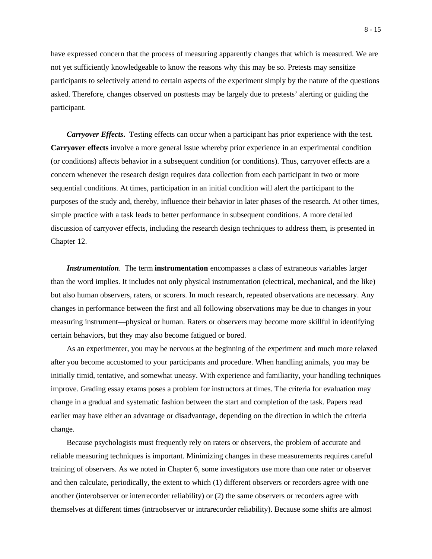have expressed concern that the process of measuring apparently changes that which is measured. We are not yet sufficiently knowledgeable to know the reasons why this may be so. Pretests may sensitize participants to selectively attend to certain aspects of the experiment simply by the nature of the questions asked. Therefore, changes observed on posttests may be largely due to pretests' alerting or guiding the participant.

*Carryover Effects***.** Testing effects can occur when a participant has prior experience with the test. **Carryover effects** involve a more general issue whereby prior experience in an experimental condition (or conditions) affects behavior in a subsequent condition (or conditions). Thus, carryover effects are a concern whenever the research design requires data collection from each participant in two or more sequential conditions. At times, participation in an initial condition will alert the participant to the purposes of the study and, thereby, influence their behavior in later phases of the research. At other times, simple practice with a task leads to better performance in subsequent conditions. A more detailed discussion of carryover effects, including the research design techniques to address them, is presented in Chapter 12.

*Instrumentation*. The term **instrumentation** encompasses a class of extraneous variables larger than the word implies. It includes not only physical instrumentation (electrical, mechanical, and the like) but also human observers, raters, or scorers. In much research, repeated observations are necessary. Any changes in performance between the first and all following observations may be due to changes in your measuring instrument—physical or human. Raters or observers may become more skillful in identifying certain behaviors, but they may also become fatigued or bored.

As an experimenter, you may be nervous at the beginning of the experiment and much more relaxed after you become accustomed to your participants and procedure. When handling animals, you may be initially timid, tentative, and somewhat uneasy. With experience and familiarity, your handling techniques improve. Grading essay exams poses a problem for instructors at times. The criteria for evaluation may change in a gradual and systematic fashion between the start and completion of the task. Papers read earlier may have either an advantage or disadvantage, depending on the direction in which the criteria change.

Because psychologists must frequently rely on raters or observers, the problem of accurate and reliable measuring techniques is important. Minimizing changes in these measurements requires careful training of observers. As we noted in Chapter 6, some investigators use more than one rater or observer and then calculate, periodically, the extent to which (1) different observers or recorders agree with one another (interobserver or interrecorder reliability) or (2) the same observers or recorders agree with themselves at different times (intraobserver or intrarecorder reliability). Because some shifts are almost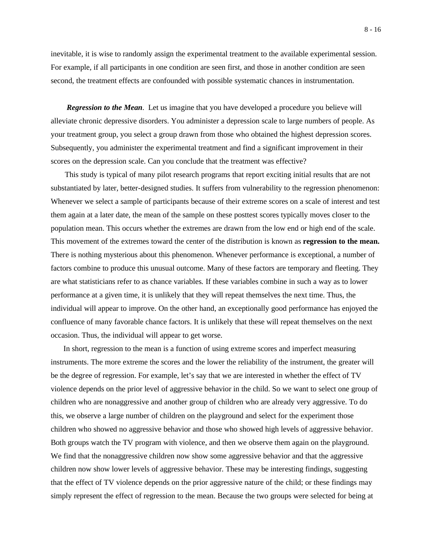inevitable, it is wise to randomly assign the experimental treatment to the available experimental session. For example, if all participants in one condition are seen first, and those in another condition are seen second, the treatment effects are confounded with possible systematic chances in instrumentation.

*Regression to the Mean*. Let us imagine that you have developed a procedure you believe will alleviate chronic depressive disorders. You administer a depression scale to large numbers of people. As your treatment group, you select a group drawn from those who obtained the highest depression scores. Subsequently, you administer the experimental treatment and find a significant improvement in their scores on the depression scale. Can you conclude that the treatment was effective?

This study is typical of many pilot research programs that report exciting initial results that are not substantiated by later, better-designed studies. It suffers from vulnerability to the regression phenomenon: Whenever we select a sample of participants because of their extreme scores on a scale of interest and test them again at a later date, the mean of the sample on these posttest scores typically moves closer to the population mean. This occurs whether the extremes are drawn from the low end or high end of the scale. This movement of the extremes toward the center of the distribution is known as **regression to the mean.**  There is nothing mysterious about this phenomenon. Whenever performance is exceptional, a number of factors combine to produce this unusual outcome. Many of these factors are temporary and fleeting. They are what statisticians refer to as chance variables*.* If these variables combine in such a way as to lower performance at a given time, it is unlikely that they will repeat themselves the next time. Thus, the individual will appear to improve. On the other hand, an exceptionally good performance has enjoyed the confluence of many favorable chance factors. It is unlikely that these will repeat themselves on the next occasion. Thus, the individual will appear to get worse.

In short, regression to the mean is a function of using extreme scores and imperfect measuring instruments. The more extreme the scores and the lower the reliability of the instrument, the greater will be the degree of regression. For example, let's say that we are interested in whether the effect of TV violence depends on the prior level of aggressive behavior in the child. So we want to select one group of children who are nonaggressive and another group of children who are already very aggressive. To do this, we observe a large number of children on the playground and select for the experiment those children who showed no aggressive behavior and those who showed high levels of aggressive behavior. Both groups watch the TV program with violence, and then we observe them again on the playground. We find that the nonaggressive children now show some aggressive behavior and that the aggressive children now show lower levels of aggressive behavior. These may be interesting findings, suggesting that the effect of TV violence depends on the prior aggressive nature of the child; or these findings may simply represent the effect of regression to the mean. Because the two groups were selected for being at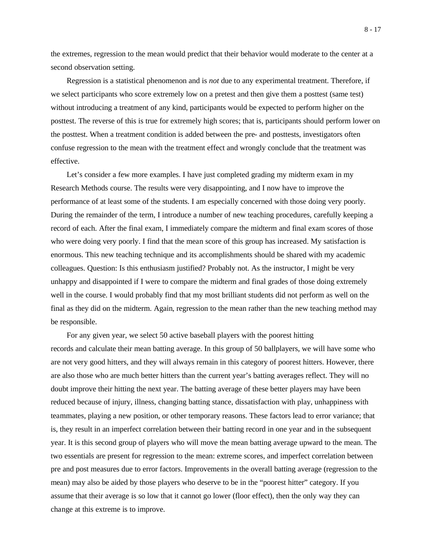the extremes, regression to the mean would predict that their behavior would moderate to the center at a second observation setting.

Regression is a statistical phenomenon and is *not* due to any experimental treatment. Therefore, if we select participants who score extremely low on a pretest and then give them a posttest (same test) without introducing a treatment of any kind, participants would be expected to perform higher on the posttest. The reverse of this is true for extremely high scores; that is, participants should perform lower on the posttest. When a treatment condition is added between the pre- and posttests, investigators often confuse regression to the mean with the treatment effect and wrongly conclude that the treatment was effective.

Let's consider a few more examples. I have just completed grading my midterm exam in my Research Methods course. The results were very disappointing, and I now have to improve the performance of at least some of the students. I am especially concerned with those doing very poorly. During the remainder of the term, I introduce a number of new teaching procedures, carefully keeping a record of each. After the final exam, I immediately compare the midterm and final exam scores of those who were doing very poorly. I find that the mean score of this group has increased. My satisfaction is enormous. This new teaching technique and its accomplishments should be shared with my academic colleagues. Question: Is this enthusiasm justified? Probably not. As the instructor, I might be very unhappy and disappointed if I were to compare the midterm and final grades of those doing extremely well in the course. I would probably find that my most brilliant students did not perform as well on the final as they did on the midterm. Again, regression to the mean rather than the new teaching method may be responsible.

For any given year, we select 50 active baseball players with the poorest hitting records and calculate their mean batting average. In this group of 50 ballplayers, we will have some who are not very good hitters, and they will always remain in this category of poorest hitters. However, there are also those who are much better hitters than the current year's batting averages reflect. They will no doubt improve their hitting the next year. The batting average of these better players may have been reduced because of injury, illness, changing batting stance, dissatisfaction with play, unhappiness with teammates, playing a new position, or other temporary reasons. These factors lead to error variance; that is, they result in an imperfect correlation between their batting record in one year and in the subsequent year. It is this second group of players who will move the mean batting average upward to the mean. The two essentials are present for regression to the mean: extreme scores, and imperfect correlation between pre and post measures due to error factors. Improvements in the overall batting average (regression to the mean) may also be aided by those players who deserve to be in the "poorest hitter" category. If you assume that their average is so low that it cannot go lower (floor effect), then the only way they can change at this extreme is to improve.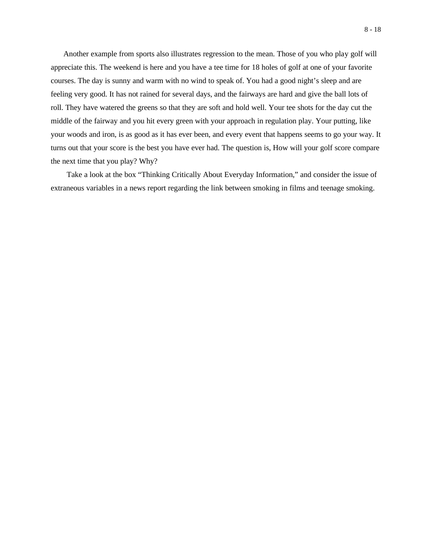Another example from sports also illustrates regression to the mean. Those of you who play golf will appreciate this. The weekend is here and you have a tee time for 18 holes of golf at one of your favorite courses. The day is sunny and warm with no wind to speak of. You had a good night's sleep and are feeling very good. It has not rained for several days, and the fairways are hard and give the ball lots of roll. They have watered the greens so that they are soft and hold well. Your tee shots for the day cut the middle of the fairway and you hit every green with your approach in regulation play. Your putting, like your woods and iron, is as good as it has ever been, and every event that happens seems to go your way. It turns out that your score is the best you have ever had. The question is, How will your golf score compare the next time that you play? Why?

Take a look at the box "Thinking Critically About Everyday Information," and consider the issue of extraneous variables in a news report regarding the link between smoking in films and teenage smoking.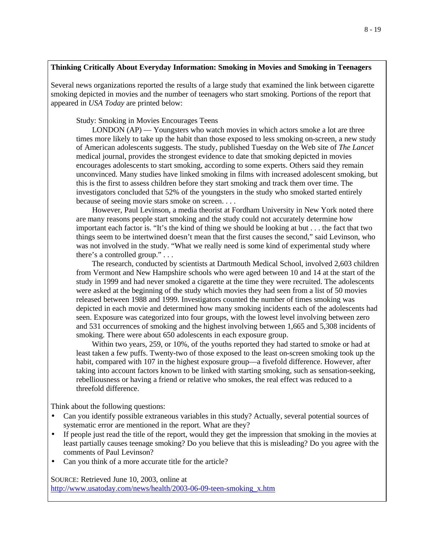### **Thinking Critically About Everyday Information: Smoking in Movies and Smoking in Teenagers**

Several news organizations reported the results of a large study that examined the link between cigarette smoking depicted in movies and the number of teenagers who start smoking. Portions of the report that appeared in *USA Today* are printed below:

### Study: Smoking in Movies Encourages Teens

 $LONDON (AP)$  — Youngsters who watch movies in which actors smoke a lot are three times more likely to take up the habit than those exposed to less smoking on-screen, a new study of American adolescents suggests. The study, published Tuesday on the Web site of *The Lancet* medical journal, provides the strongest evidence to date that smoking depicted in movies encourages adolescents to start smoking, according to some experts. Others said they remain unconvinced. Many studies have linked smoking in films with increased adolescent smoking, but this is the first to assess children before they start smoking and track them over time. The investigators concluded that 52% of the youngsters in the study who smoked started entirely because of seeing movie stars smoke on screen. . . .

However, Paul Levinson, a media theorist at Fordham University in New York noted there are many reasons people start smoking and the study could not accurately determine how important each factor is. "It's the kind of thing we should be looking at but . . . the fact that two things seem to be intertwined doesn't mean that the first causes the second," said Levinson, who was not involved in the study. "What we really need is some kind of experimental study where there's a controlled group." . . .

The research, conducted by scientists at Dartmouth Medical School, involved 2,603 children from Vermont and New Hampshire schools who were aged between 10 and 14 at the start of the study in 1999 and had never smoked a cigarette at the time they were recruited. The adolescents were asked at the beginning of the study which movies they had seen from a list of 50 movies released between 1988 and 1999. Investigators counted the number of times smoking was depicted in each movie and determined how many smoking incidents each of the adolescents had seen. Exposure was categorized into four groups, with the lowest level involving between zero and 531 occurrences of smoking and the highest involving between 1,665 and 5,308 incidents of smoking. There were about 650 adolescents in each exposure group.

Within two years, 259, or 10%, of the youths reported they had started to smoke or had at least taken a few puffs. Twenty-two of those exposed to the least on-screen smoking took up the habit, compared with 107 in the highest exposure group—a fivefold difference. However, after taking into account factors known to be linked with starting smoking, such as sensation-seeking, rebelliousness or having a friend or relative who smokes, the real effect was reduced to a threefold difference.

Think about the following questions:

- Can you identify possible extraneous variables in this study? Actually, several potential sources of systematic error are mentioned in the report. What are they?
- If people just read the title of the report, would they get the impression that smoking in the movies at least partially causes teenage smoking? Do you believe that this is misleading? Do you agree with the comments of Paul Levinson?
- Can you think of a more accurate title for the article?

SOURCE: Retrieved June 10, 2003, online at http://www.usatoday.com/news/health/2003-06-09-teen-smoking\_x.htm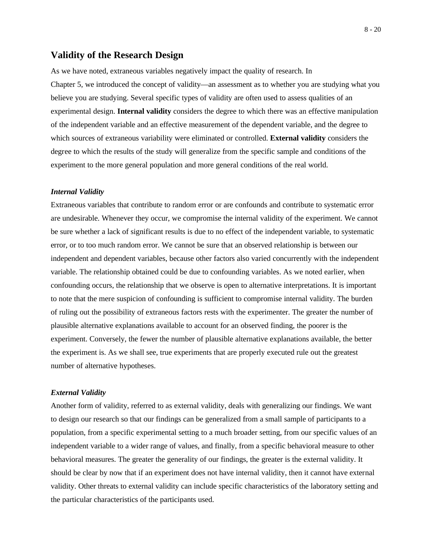## **Validity of the Research Design**

As we have noted, extraneous variables negatively impact the quality of research. In Chapter 5, we introduced the concept of validity—an assessment as to whether you are studying what you believe you are studying. Several specific types of validity are often used to assess qualities of an experimental design. **Internal validity** considers the degree to which there was an effective manipulation of the independent variable and an effective measurement of the dependent variable, and the degree to which sources of extraneous variability were eliminated or controlled. **External validity** considers the degree to which the results of the study will generalize from the specific sample and conditions of the experiment to the more general population and more general conditions of the real world.

### *Internal Validity*

Extraneous variables that contribute to random error or are confounds and contribute to systematic error are undesirable. Whenever they occur, we compromise the internal validity of the experiment. We cannot be sure whether a lack of significant results is due to no effect of the independent variable, to systematic error, or to too much random error. We cannot be sure that an observed relationship is between our independent and dependent variables, because other factors also varied concurrently with the independent variable. The relationship obtained could be due to confounding variables. As we noted earlier, when confounding occurs, the relationship that we observe is open to alternative interpretations. It is important to note that the mere suspicion of confounding is sufficient to compromise internal validity. The burden of ruling out the possibility of extraneous factors rests with the experimenter. The greater the number of plausible alternative explanations available to account for an observed finding, the poorer is the experiment. Conversely, the fewer the number of plausible alternative explanations available, the better the experiment is. As we shall see, true experiments that are properly executed rule out the greatest number of alternative hypotheses.

### *External Validity*

Another form of validity, referred to as external validity, deals with generalizing our findings. We want to design our research so that our findings can be generalized from a small sample of participants to a population, from a specific experimental setting to a much broader setting, from our specific values of an independent variable to a wider range of values, and finally, from a specific behavioral measure to other behavioral measures. The greater the generality of our findings, the greater is the external validity. It should be clear by now that if an experiment does not have internal validity, then it cannot have external validity. Other threats to external validity can include specific characteristics of the laboratory setting and the particular characteristics of the participants used.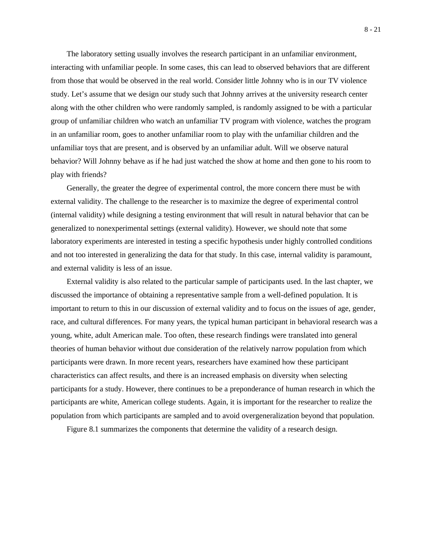The laboratory setting usually involves the research participant in an unfamiliar environment, interacting with unfamiliar people. In some cases, this can lead to observed behaviors that are different from those that would be observed in the real world. Consider little Johnny who is in our TV violence study. Let's assume that we design our study such that Johnny arrives at the university research center along with the other children who were randomly sampled, is randomly assigned to be with a particular group of unfamiliar children who watch an unfamiliar TV program with violence, watches the program in an unfamiliar room, goes to another unfamiliar room to play with the unfamiliar children and the unfamiliar toys that are present, and is observed by an unfamiliar adult. Will we observe natural behavior? Will Johnny behave as if he had just watched the show at home and then gone to his room to play with friends?

Generally, the greater the degree of experimental control, the more concern there must be with external validity. The challenge to the researcher is to maximize the degree of experimental control (internal validity) while designing a testing environment that will result in natural behavior that can be generalized to nonexperimental settings (external validity). However, we should note that some laboratory experiments are interested in testing a specific hypothesis under highly controlled conditions and not too interested in generalizing the data for that study. In this case, internal validity is paramount, and external validity is less of an issue.

External validity is also related to the particular sample of participants used. In the last chapter, we discussed the importance of obtaining a representative sample from a well-defined population. It is important to return to this in our discussion of external validity and to focus on the issues of age, gender, race, and cultural differences. For many years, the typical human participant in behavioral research was a young, white, adult American male. Too often, these research findings were translated into general theories of human behavior without due consideration of the relatively narrow population from which participants were drawn. In more recent years, researchers have examined how these participant characteristics can affect results, and there is an increased emphasis on diversity when selecting participants for a study. However, there continues to be a preponderance of human research in which the participants are white, American college students. Again, it is important for the researcher to realize the population from which participants are sampled and to avoid overgeneralization beyond that population.

Figure 8.1 summarizes the components that determine the validity of a research design.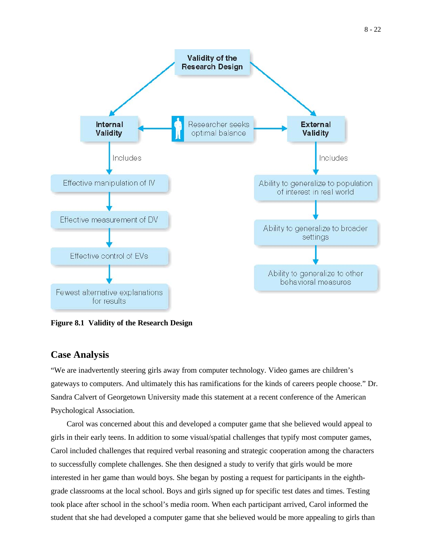

**Figure 8.1 Validity of the Research Design**

## **Case Analysis**

"We are inadvertently steering girls away from computer technology. Video games are children's gateways to computers. And ultimately this has ramifications for the kinds of careers people choose." Dr. Sandra Calvert of Georgetown University made this statement at a recent conference of the American Psychological Association.

Carol was concerned about this and developed a computer game that she believed would appeal to girls in their early teens. In addition to some visual/spatial challenges that typify most computer games, Carol included challenges that required verbal reasoning and strategic cooperation among the characters to successfully complete challenges. She then designed a study to verify that girls would be more interested in her game than would boys. She began by posting a request for participants in the eighthgrade classrooms at the local school. Boys and girls signed up for specific test dates and times. Testing took place after school in the school's media room. When each participant arrived, Carol informed the student that she had developed a computer game that she believed would be more appealing to girls than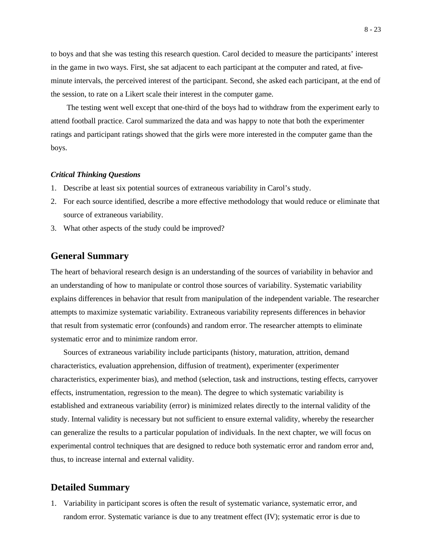to boys and that she was testing this research question. Carol decided to measure the participants' interest in the game in two ways. First, she sat adjacent to each participant at the computer and rated, at fiveminute intervals, the perceived interest of the participant. Second, she asked each participant, at the end of the session, to rate on a Likert scale their interest in the computer game.

The testing went well except that one-third of the boys had to withdraw from the experiment early to attend football practice. Carol summarized the data and was happy to note that both the experimenter ratings and participant ratings showed that the girls were more interested in the computer game than the boys.

#### *Critical Thinking Questions*

- 1. Describe at least six potential sources of extraneous variability in Carol's study.
- 2. For each source identified, describe a more effective methodology that would reduce or eliminate that source of extraneous variability.
- 3. What other aspects of the study could be improved?

## **General Summary**

The heart of behavioral research design is an understanding of the sources of variability in behavior and an understanding of how to manipulate or control those sources of variability. Systematic variability explains differences in behavior that result from manipulation of the independent variable. The researcher attempts to maximize systematic variability. Extraneous variability represents differences in behavior that result from systematic error (confounds) and random error. The researcher attempts to eliminate systematic error and to minimize random error.

Sources of extraneous variability include participants (history, maturation, attrition, demand characteristics, evaluation apprehension, diffusion of treatment), experimenter (experimenter characteristics, experimenter bias), and method (selection, task and instructions, testing effects, carryover effects, instrumentation, regression to the mean). The degree to which systematic variability is established and extraneous variability (error) is minimized relates directly to the internal validity of the study. Internal validity is necessary but not sufficient to ensure external validity, whereby the researcher can generalize the results to a particular population of individuals. In the next chapter, we will focus on experimental control techniques that are designed to reduce both systematic error and random error and, thus, to increase internal and external validity.

## **Detailed Summary**

1. Variability in participant scores is often the result of systematic variance, systematic error, and random error. Systematic variance is due to any treatment effect (IV); systematic error is due to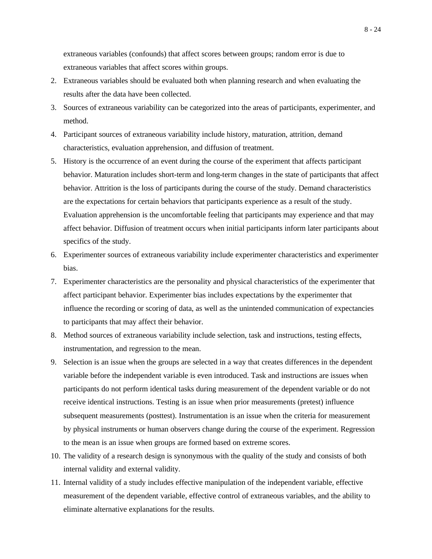extraneous variables (confounds) that affect scores between groups; random error is due to extraneous variables that affect scores within groups.

- 2. Extraneous variables should be evaluated both when planning research and when evaluating the results after the data have been collected.
- 3. Sources of extraneous variability can be categorized into the areas of participants, experimenter, and method.
- 4. Participant sources of extraneous variability include history, maturation, attrition, demand characteristics, evaluation apprehension, and diffusion of treatment.
- 5. History is the occurrence of an event during the course of the experiment that affects participant behavior. Maturation includes short-term and long-term changes in the state of participants that affect behavior. Attrition is the loss of participants during the course of the study. Demand characteristics are the expectations for certain behaviors that participants experience as a result of the study. Evaluation apprehension is the uncomfortable feeling that participants may experience and that may affect behavior. Diffusion of treatment occurs when initial participants inform later participants about specifics of the study.
- 6. Experimenter sources of extraneous variability include experimenter characteristics and experimenter bias.
- 7. Experimenter characteristics are the personality and physical characteristics of the experimenter that affect participant behavior. Experimenter bias includes expectations by the experimenter that influence the recording or scoring of data, as well as the unintended communication of expectancies to participants that may affect their behavior.
- 8. Method sources of extraneous variability include selection, task and instructions, testing effects, instrumentation, and regression to the mean.
- 9. Selection is an issue when the groups are selected in a way that creates differences in the dependent variable before the independent variable is even introduced. Task and instructions are issues when participants do not perform identical tasks during measurement of the dependent variable or do not receive identical instructions. Testing is an issue when prior measurements (pretest) influence subsequent measurements (posttest). Instrumentation is an issue when the criteria for measurement by physical instruments or human observers change during the course of the experiment. Regression to the mean is an issue when groups are formed based on extreme scores.
- 10. The validity of a research design is synonymous with the quality of the study and consists of both internal validity and external validity.
- 11. Internal validity of a study includes effective manipulation of the independent variable, effective measurement of the dependent variable, effective control of extraneous variables, and the ability to eliminate alternative explanations for the results.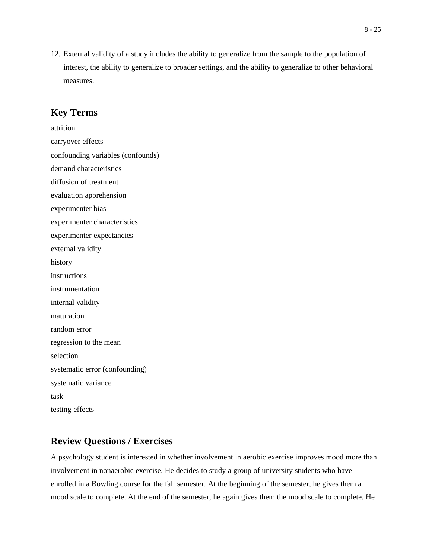12. External validity of a study includes the ability to generalize from the sample to the population of interest, the ability to generalize to broader settings, and the ability to generalize to other behavioral measures.

# **Key Terms**

attrition carryover effects confounding variables (confounds) demand characteristics diffusion of treatment evaluation apprehension experimenter bias experimenter characteristics experimenter expectancies external validity history instructions instrumentation internal validity maturation random error regression to the mean selection systematic error (confounding) systematic variance task testing effects

# **Review Questions / Exercises**

A psychology student is interested in whether involvement in aerobic exercise improves mood more than involvement in nonaerobic exercise. He decides to study a group of university students who have enrolled in a Bowling course for the fall semester. At the beginning of the semester, he gives them a mood scale to complete. At the end of the semester, he again gives them the mood scale to complete. He